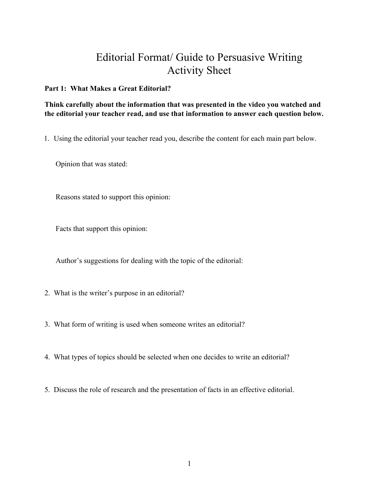# Editorial Format/ Guide to Persuasive Writing Activity Sheet

## **Part 1: What Makes a Great Editorial?**

## **Think carefully about the information that was presented in the video you watched and the editorial your teacher read, and use that information to answer each question below.**

1. Using the editorial your teacher read you, describe the content for each main part below.

Opinion that was stated:

Reasons stated to support this opinion:

Facts that support this opinion:

Author's suggestions for dealing with the topic of the editorial:

- 2. What is the writer's purpose in an editorial?
- 3. What form of writing is used when someone writes an editorial?
- 4. What types of topics should be selected when one decides to write an editorial?
- 5. Discuss the role of research and the presentation of facts in an effective editorial.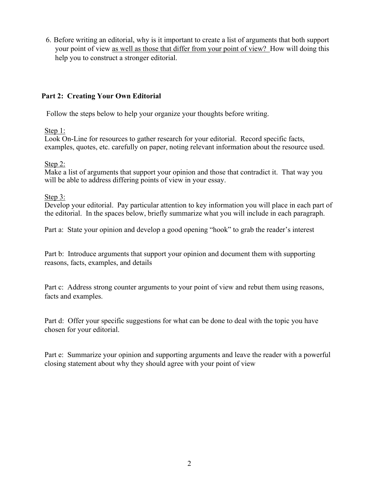6. Before writing an editorial, why is it important to create a list of arguments that both support your point of view as well as those that differ from your point of view? How will doing this help you to construct a stronger editorial.

# **Part 2: Creating Your Own Editorial**

Follow the steps below to help your organize your thoughts before writing.

Step 1:

Look On-Line for resources to gather research for your editorial. Record specific facts, examples, quotes, etc. carefully on paper, noting relevant information about the resource used.

Step 2:

Make a list of arguments that support your opinion and those that contradict it. That way you will be able to address differing points of view in your essay.

Step 3:

Develop your editorial. Pay particular attention to key information you will place in each part of the editorial. In the spaces below, briefly summarize what you will include in each paragraph.

Part a: State your opinion and develop a good opening "hook" to grab the reader's interest

Part b: Introduce arguments that support your opinion and document them with supporting reasons, facts, examples, and details

Part c: Address strong counter arguments to your point of view and rebut them using reasons, facts and examples.

Part d: Offer your specific suggestions for what can be done to deal with the topic you have chosen for your editorial.

Part e: Summarize your opinion and supporting arguments and leave the reader with a powerful closing statement about why they should agree with your point of view